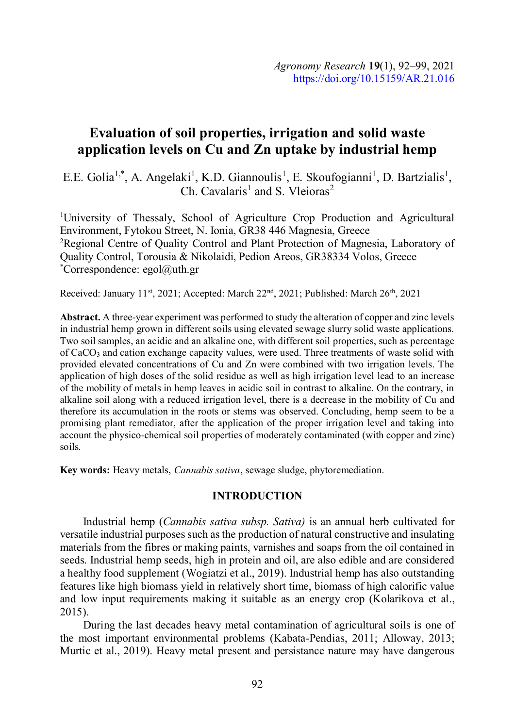# Evaluation of soil properties, irrigation and solid waste application levels on Cu and Zn uptake by industrial hemp

E.E. Golia<sup>1,\*</sup>, A. Angelaki<sup>1</sup>, K.D. Giannoulis<sup>1</sup>, E. Skoufogianni<sup>1</sup>, D. Bartzialis<sup>1</sup>,<br>Ch. Cavalaris<sup>1</sup> and S. Vleioras<sup>2</sup> Ch. Cavalaris<sup>1</sup> and S. Vleioras<sup>2</sup>

1University of Thessaly, School of Agriculture Crop Production and Agricultural Environment, Fytokou Street, N. Ionia, GR38 446 Magnesia, Greece 2Regional Centre of Quality Control and Plant Protection of Magnesia, Laboratory of Quality Control, Torousia & Nikolaidi, Pedion Areos, GR38334 Volos, Greece \*Correspondence: egol@uth.gr

Received: January 11st, 2021; Accepted: March 22<sup>nd</sup>, 2021; Published: March 26<sup>th</sup>, 2021

Abstract. Α three-year experiment was performed to study the alteration of copper and zinc levels in industrial hemp grown in different soils using elevated sewage slurry solid waste applications. Two soil samples, an acidic and an alkaline one, with different soil properties, such as percentage of CaCO<sub>3</sub> and cation exchange capacity values, were used. Three treatments of waste solid with provided elevated concentrations of Cu and Zn were combined with two irrigation levels. The application of high doses of the solid residue as well as high irrigation level lead to an increase of the mobility of metals in hemp leaves in acidic soil in contrast to alkaline. On the contrary, in alkaline soil along with a reduced irrigation level, there is a decrease in the mobility of Cu and therefore its accumulation in the roots or stems was observed. Concluding, hemp seem to be a promising plant remediator, after the application of the proper irrigation level and taking into account the physico-chemical soil properties of moderately contaminated (with copper and zinc) soils.

Key words: Heavy metals, Cannabis sativa, sewage sludge, phytoremediation.

## INTRODUCTION

Industrial hemp (Cannabis sativa subsp. Sativa) is an annual herb cultivated for versatile industrial purposes such as the production of natural constructive and insulating materials from the fibres or making paints, varnishes and soaps from the oil contained in seeds. Industrial hemp seeds, high in protein and oil, are also edible and are considered a healthy food supplement (Wogiatzi et al., 2019). Industrial hemp has also outstanding features like high biomass yield in relatively short time, biomass of high calorific value and low input requirements making it suitable as an energy crop (Kolarikova et al., 2015).

During the last decades heavy metal contamination of agricultural soils is one of the most important environmental problems (Kabata-Pendias, 2011; Alloway, 2013; Murtic et al., 2019). Heavy metal present and persistance nature may have dangerous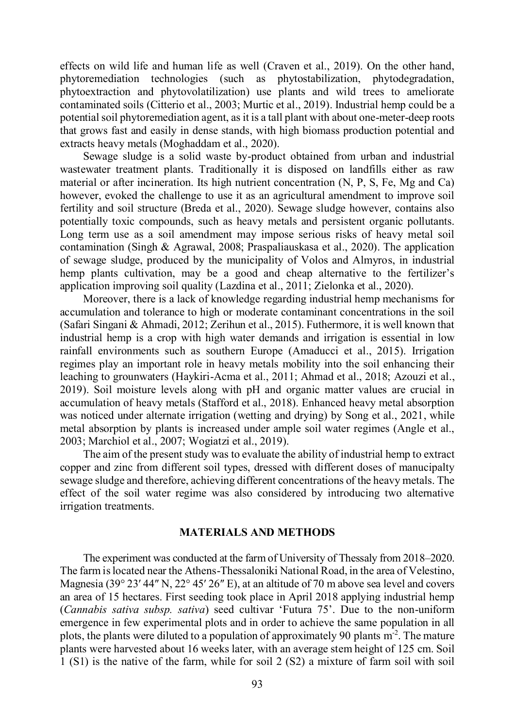effects on wild life and human life as well (Craven et al., 2019). On the other hand, phytoremediation technologies (such as phytostabilization, phytodegradation, phytoextraction and phytovolatilization) use plants and wild trees to ameliorate contaminated soils (Citterio et al., 2003; Murtic et al., 2019). Industrial hemp could be a potential soil phytoremediation agent, as it is a tall plant with about one-meter-deep roots that grows fast and easily in dense stands, with high biomass production potential and extracts heavy metals (Moghaddam et al., 2020).

Sewage sludge is a solid waste by-product obtained from urban and industrial wastewater treatment plants. Traditionally it is disposed on landfills either as raw material or after incineration. Its high nutrient concentration (N, P, S, Fe, Mg and Ca) however, evoked the challenge to use it as an agricultural amendment to improve soil fertility and soil structure (Breda et al., 2020). Sewage sludge however, contains also potentially toxic compounds, such as heavy metals and persistent organic pollutants. Long term use as a soil amendment may impose serious risks of heavy metal soil contamination (Singh & Agrawal, 2008; Praspaliauskasa et al., 2020). The application of sewage sludge, produced by the municipality of Volos and Almyros, in industrial hemp plants cultivation, may be a good and cheap alternative to the fertilizer's application improving soil quality (Lazdina et al., 2011; Zielonka et al., 2020).

Moreover, there is a lack of knowledge regarding industrial hemp mechanisms for accumulation and tolerance to high or moderate contaminant concentrations in the soil (Safari Singani & Ahmadi, 2012; Zerihun et al., 2015). Futhermore, it is well known that industrial hemp is a crop with high water demands and irrigation is essential in low rainfall environments such as southern Europe (Amaducci et al., 2015). Irrigation regimes play an important role in heavy metals mobility into the soil enhancing their leaching to grounwaters (Haykiri-Acma et al., 2011; Ahmad et al., 2018; Azouzi et al., 2019). Soil moisture levels along with pH and organic matter values are crucial in accumulation of heavy metals (Stafford et al., 2018). Enhanced heavy metal absorption was noticed under alternate irrigation (wetting and drying) by Song et al., 2021, while metal absorption by plants is increased under ample soil water regimes (Angle et al., 2003; Marchiol et al., 2007; Wogiatzi et al., 2019).

The aim of the present study was to evaluate the ability of industrial hemp to extract copper and zinc from different soil types, dressed with different doses of manucipalty sewage sludge and therefore, achieving different concentrations of the heavy metals. The effect of the soil water regime was also considered by introducing two alternative irrigation treatments.

#### MATERIALS AND METHODS

The experiment was conducted at the farm of University of Thessaly from 2018–2020. The farm is located near the Athens-Thessaloniki National Road, in the area of Velestino, Magnesia (39° 23′ 44″ N, 22° 45′ 26″ E), at an altitude of 70 m above sea level and covers an area of 15 hectares. First seeding took place in April 2018 applying industrial hemp (Cannabis sativa subsp. sativa) seed cultivar 'Futura 75'. Due to the non-uniform emergence in few experimental plots and in order to achieve the same population in all plots, the plants were diluted to a population of approximately 90 plants  $m<sup>2</sup>$ . The mature plants were harvested about 16 weeks later, with an average stem height of 125 cm. Soil 1 (S1) is the native of the farm, while for soil 2 (S2) a mixture of farm soil with soil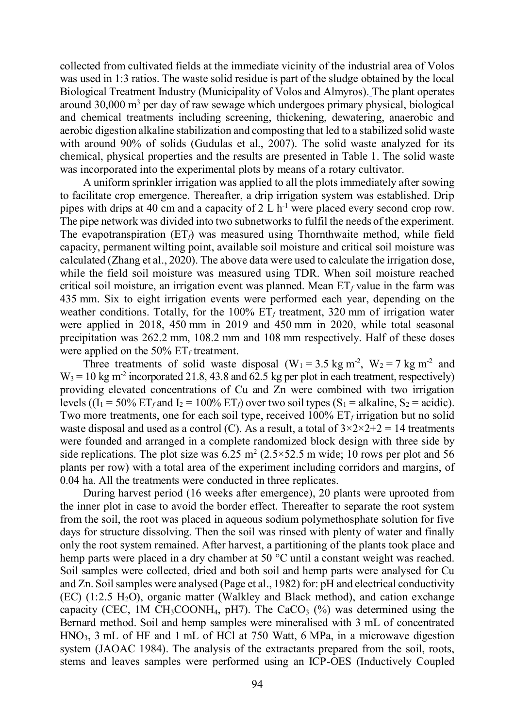collected from cultivated fields at the immediate vicinity of the industrial area of Volos was used in 1:3 ratios. The waste solid residue is part of the sludge obtained by the local Biological Treatment Industry (Municipality of Volos and Almyros). The plant operates around 30,000 m<sup>3</sup> per day of raw sewage which undergoes primary physical, biological and chemical treatments including screening, thickening, dewatering, anaerobic and aerobic digestion alkaline stabilization and composting that led to a stabilized solid waste with around 90% of solids (Gudulas et al., 2007). The solid waste analyzed for its chemical, physical properties and the results are presented in Table 1. The solid waste was incorporated into the experimental plots by means of a rotary cultivator.

A uniform sprinkler irrigation was applied to all the plots immediately after sowing to facilitate crop emergence. Thereafter, a drip irrigation system was established. Drip pipes with drips at 40 cm and a capacity of 2 L  $h^{-1}$  were placed every second crop row. The pipe network was divided into two subnetworks to fulfil the needs of the experiment. The evapotranspiration  $(ET_f)$  was measured using Thornthwaite method, while field capacity, permanent wilting point, available soil moisture and critical soil moisture was collected from cultivated fields at the immediate vicinity of the industrial area of Volos was used in 1:3 ratios. The waste solid residue is part of the sludge obtained by the local Biological Treatment Industry (Municipa while the field soil moisture was measured using TDR. When soil moisture reached critical soil moisture, an irrigation event was planned. Mean  $ET_f$  value in the farm was 435 mm. Six to eight irrigation events were performed each year, depending on the weather conditions. Totally, for the 100%  $ET_f$  treatment, 320 mm of irrigation water were applied in 2018, 450 mm in 2019 and 450 mm in 2020, while total seasonal precipitation was 262.2 mm, 108.2 mm and 108 mm respectively. Half of these doses were applied on the 50%  $ET_f$  treatment.

Three treatments of solid waste disposal  $(W_1 = 3.5 \text{ kg m}^2, W_2 = 7 \text{ kg m}^2$  and  $W_3 = 10 \text{ kg m}^2$  incorporated 21.8, 43.8 and 62.5 kg per plot in each treatment, respectively) providing elevated concentrations of Cu and Zn were combined with two irrigation levels ((I<sub>1</sub> = 50% ET<sub>f</sub> and I<sub>2</sub> = 100% ET<sub>f</sub>) over two soil types (S<sub>1</sub> = alkaline, S<sub>2</sub> = acidic). Two more treatments, one for each soil type, received  $100\%$   $ET_f$  irrigation but no solid waste disposal and used as a control (C). As a result, a total of  $3 \times 2 \times 2 + 2 = 14$  treatments were founded and arranged in a complete randomized block design with three side by side replications. The plot size was  $6.25 \text{ m}^2 (2.5 \times 52.5 \text{ m} \text{ wide}; 10 \text{ rows per plot and } 56 \text{ m}$ plants per row) with a total area of the experiment including corridors and margins, of 0.04 ha. All the treatments were conducted in three replicates.

During harvest period (16 weeks after emergence), 20 plants were uprooted from the inner plot in case to avoid the border effect. Thereafter to separate the root system from the soil, the root was placed in aqueous sodium polymethosphate solution for five days for structure dissolving. Then the soil was rinsed with plenty of water and finally only the root system remained. After harvest, a partitioning of the plants took place and hemp parts were placed in a dry chamber at 50 °C until a constant weight was reached. Soil samples were collected, dried and both soil and hemp parts were analysed for Cu and Zn. Soil samples were analysed (Page et al., 1982) for: pH and electrical conductivity  $(EC)$  (1:2.5 H<sub>2</sub>O), organic matter (Walkley and Black method), and cation exchange capacity (CEC, 1M CH<sub>3</sub>COONH<sub>4</sub>, pH7). The CaCO<sub>3</sub>  $(\%)$  was determined using the Bernard method. Soil and hemp samples were mineralised with 3 mL of concentrated  $HNO<sub>3</sub>$ , 3 mL of HF and 1 mL of HCl at 750 Watt, 6 MPa, in a microwave digestion system (JAOAC 1984). The analysis of the extractants prepared from the soil, roots, stems and leaves samples were performed using an ICP-OES (Inductively Coupled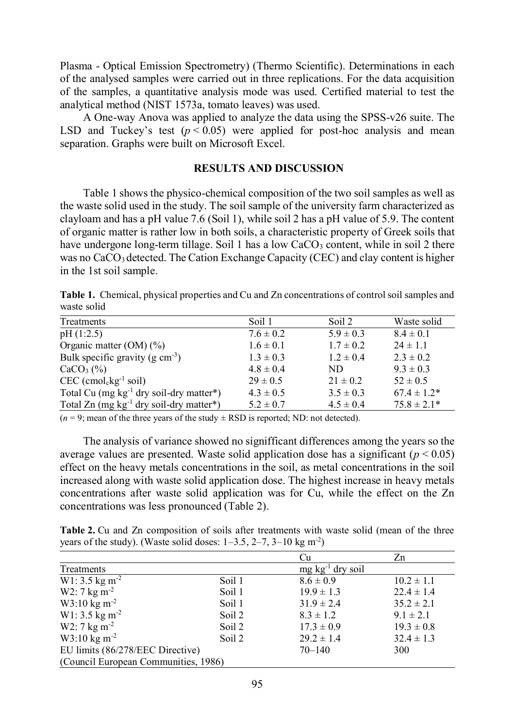Plasma - Optical Emission Spectrometry) (Thermo Scientific). Determinations in each of the analysed samples were carried out in three replications. For the data acquisition of the samples, a quantitative analysis mode was used. Certified material to test the analytical method (NIST 1573a, tomato leaves) was used.

A One-way Anova was applied to analyze the data using the SPSS-v26 suite. The LSD and Tuckey's test  $(p < 0.05)$  were applied for post-hoc analysis and mean separation. Graphs were built on Microsoft Excel.

#### RESULTS AND DISCUSSION

Table 1 shows the physico-chemical composition of the two soil samples as well as the waste solid used in the study. The soil sample of the university farm characterized as clayloam and has a pH value 7.6 (Soil 1), while soil 2 has a pH value of 5.9. The content of organic matter is rather low in both soils, a characteristic property of Greek soils that have undergone long-term tillage. Soil 1 has a low  $CaCO<sub>3</sub>$  content, while in soil 2 there was no CaCO<sub>3</sub> detected. The Cation Exchange Capacity (CEC) and clay content is higher in the 1st soil sample.

Table 1. Chemical, physical properties and Cu and Zn concentrations of control soil samples and waste solid

| Treatments                                      | Soil 1        | Soil 2        | Waste solid      |
|-------------------------------------------------|---------------|---------------|------------------|
| pH(1:2.5)                                       | $7.6 \pm 0.2$ | $5.9 \pm 0.3$ | $8.4 \pm 0.1$    |
| Organic matter $(OM)$ (%)                       | $1.6 \pm 0.1$ | $1.7 \pm 0.2$ | $24 \pm 1.1$     |
| Bulk specific gravity (g $cm^{-3}$ )            | $1.3 \pm 0.3$ | $1.2 \pm 0.4$ | $2.3 \pm 0.2$    |
| $CaCO3(\%)$                                     | $4.8 \pm 0.4$ | ND.           | $9.3 \pm 0.3$    |
| $CEC$ (cmol <sub>c</sub> kg <sup>-1</sup> soil) | $29 \pm 0.5$  | $21 \pm 0.2$  | $52 \pm 0.5$     |
| Total Cu $(mg kg^{-1}$ dry soil-dry matter*)    | $4.3 \pm 0.5$ | $3.5 \pm 0.3$ | $67.4 \pm 1.2^*$ |
| Total Zn $(mg kg-1 dry soil-dry matter*)$       | $5.2 \pm 0.7$ | $4.5 \pm 0.4$ | $75.8 \pm 2.1*$  |

 $(n = 9)$ ; mean of the three years of the study  $\pm$  RSD is reported; ND: not detected).

The analysis of variance showed no signifficant differences among the years so the average values are presented. Waste solid application dose has a significant ( $p < 0.05$ ) effect on the heavy metals concentrations in the soil, as metal concentrations in the soil increased along with waste solid application dose. The highest increase in heavy metals concentrations after waste solid application was for Cu, while the effect on the Zn concentrations was less pronounced (Table 2).

Table 2. Cu and Zn composition of soils after treatments with waste solid (mean of the three years of the study). (Waste solid doses:  $1-3.5$ ,  $2-7$ ,  $3-10 \text{ kg m}^2$ )

|                                      |        | Cu                       | Zn             |
|--------------------------------------|--------|--------------------------|----------------|
| Treatments                           |        | $mg \, kg^{-1}$ dry soil |                |
| $W1: 3.5$ kg m <sup>-2</sup>         | Soil 1 | $8.6 \pm 0.9$            | $10.2 \pm 1.1$ |
| $W2:7 \text{ kg m}^{-2}$             | Soil 1 | $19.9 \pm 1.3$           | $22.4 \pm 1.4$ |
| $W3:10 \text{ kg m}^{-2}$            | Soil 1 | $31.9 \pm 2.4$           | $35.2 \pm 2.1$ |
| $W1: 3.5$ kg m <sup>-2</sup>         | Soil 2 | $8.3 \pm 1.2$            | $9.1 \pm 2.1$  |
| $W2:7 \text{ kg m}^{-2}$             | Soil 2 | $17.3 \pm 0.9$           | $19.3 \pm 0.8$ |
| $W3:10 \text{ kg m}^{-2}$            | Soil 2 | $29.2 \pm 1.4$           | $32.4 \pm 1.3$ |
| EU limits (86/278/EEC Directive)     |        | $70 - 140$               | 300            |
| (Council European Communities, 1986) |        |                          |                |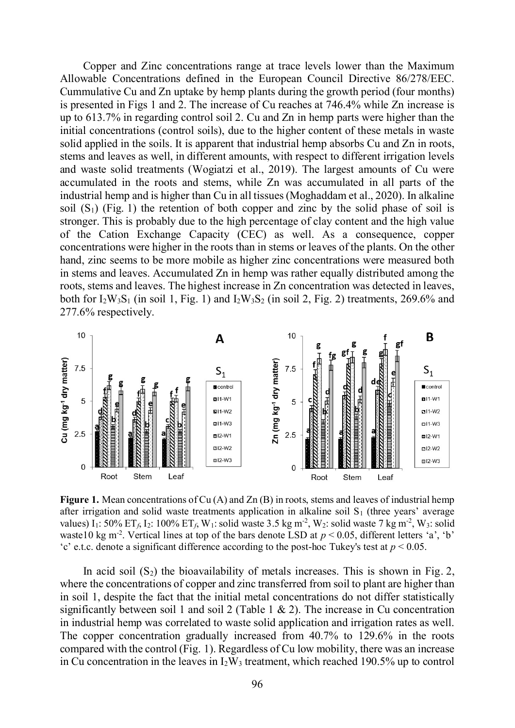Copper and Zinc concentrations range at trace levels lower than the Maximum Allowable Concentrations defined in the European Council Directive 86/278/EEC. Cummulative Cu and Zn uptake by hemp plants during the growth period (four months) is presented in Figs 1 and 2. The increase of Cu reaches at 746.4% while Zn increase is up to 613.7% in regarding control soil 2. Cu and Zn in hemp parts were higher than the initial concentrations (control soils), due to the higher content of these metals in waste solid applied in the soils. It is apparent that industrial hemp absorbs Cu and Zn in roots, stems and leaves as well, in different amounts, with respect to different irrigation levels and waste solid treatments (Wogiatzi et al., 2019). The largest amounts of Cu were accumulated in the roots and stems, while Zn was accumulated in all parts of the industrial hemp and is higher than Cu in all tissues (Moghaddam et al., 2020). In alkaline soil  $(S_1)$  (Fig. 1) the retention of both copper and zinc by the solid phase of soil is stronger. This is probably due to the high percentage of clay content and the high value of the Cation Exchange Capacity (CEC) as well. As a consequence, copper concentrations were higher in the roots than in stems or leaves of the plants. On the other hand, zinc seems to be more mobile as higher zinc concentrations were measured both in stems and leaves. Accumulated Zn in hemp was rather equally distributed among the roots, stems and leaves. The highest increase in Zn concentration was detected in leaves, both for  $I_2W_3S_1$  (in soil 1, Fig. 1) and  $I_2W_3S_2$  (in soil 2, Fig. 2) treatments, 269.6% and 277.6% respectively.



Figure 1. Mean concentrations of Cu (A) and Zn (B) in roots, stems and leaves of industrial hemp after irrigation and solid waste treatments application in alkaline soil  $S_1$  (three years' average values) I<sub>1</sub>: 50% ET<sub>f</sub>, I<sub>2</sub>: 100% ET<sub>f</sub>, W<sub>1</sub>: solid waste 3.5 kg m<sup>-2</sup>, W<sub>2</sub>: solid waste 7 kg m<sup>-2</sup>, W<sub>3</sub>: solid waste10 kg m<sup>-2</sup>. Vertical lines at top of the bars denote LSD at  $p < 0.05$ , different letters 'a', 'b' 'c' e.t.c. denote a significant difference according to the post-hoc Tukey's test at  $p < 0.05$ .

In acid soil  $(S_2)$  the bioavailability of metals increases. This is shown in Fig. 2, where the concentrations of copper and zinc transferred from soil to plant are higher than in soil 1, despite the fact that the initial metal concentrations do not differ statistically significantly between soil 1 and soil 2 (Table 1 & 2). The increase in Cu concentration in industrial hemp was correlated to waste solid application and irrigation rates as well. The copper concentration gradually increased from 40.7% to 129.6% in the roots compared with the control (Fig. 1). Regardless of Cu low mobility, there was an increase in Cu concentration in the leaves in  $I_2W_3$  treatment, which reached 190.5% up to control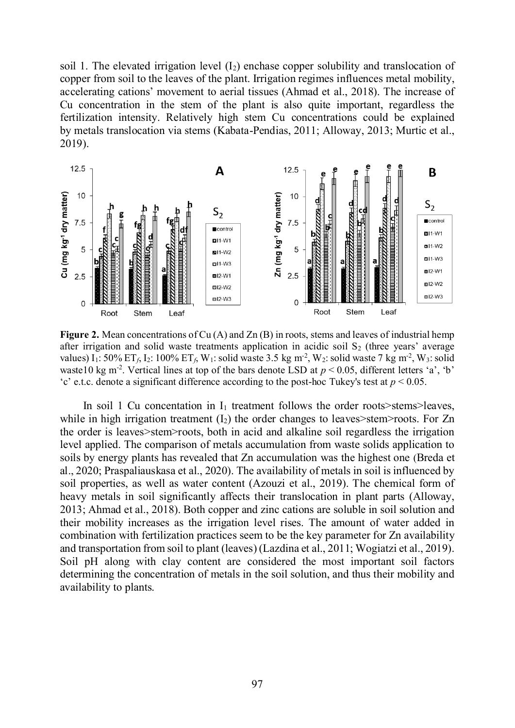soil 1. The elevated irrigation level  $(I_2)$  enchase copper solubility and translocation of copper from soil to the leaves of the plant. Irrigation regimes influences metal mobility, accelerating cations' movement to aerial tissues (Ahmad et al., 2018). The increase of Cu concentration in the stem of the plant is also quite important, regardless the fertilization intensity. Relatively high stem Cu concentrations could be explained by metals translocation via stems (Kabata-Pendias, 2011; Alloway, 2013; Murtic et al., 2019).



**Figure 2.** Mean concentrations of Cu  $(A)$  and Zn  $(B)$  in roots, stems and leaves of industrial hemp after irrigation and solid waste treatments application in acidic soil  $S_2$  (three years' average values) I<sub>1</sub>: 50% ET<sub>f</sub>, I<sub>2</sub>: 100% ET<sub>f</sub>, W<sub>1</sub>: solid waste 3.5 kg m<sup>-2</sup>, W<sub>2</sub>: solid waste 7 kg m<sup>-2</sup>, W<sub>3</sub>: solid waste10 kg m<sup>-2</sup>. Vertical lines at top of the bars denote LSD at  $p < 0.05$ , different letters 'a', 'b' 'c' e.t.c. denote a significant difference according to the post-hoc Tukey's test at  $p < 0.05$ .

In soil 1 Cu concentation in  $I_1$  treatment follows the order roots>stems>leaves, while in high irrigation treatment  $(I_2)$  the order changes to leaves>stem>roots. For Zn the order is leaves>stem>roots, both in acid and alkaline soil regardless the irrigation level applied. The comparison of metals accumulation from waste solids application to soils by energy plants has revealed that Zn accumulation was the highest one (Breda et al., 2020; Praspaliauskasa et al., 2020). The availability of metals in soil is influenced by soil properties, as well as water content (Azouzi et al., 2019). The chemical form of heavy metals in soil significantly affects their translocation in plant parts (Alloway, 2013; Ahmad et al., 2018). Both copper and zinc cations are soluble in soil solution and their mobility increases as the irrigation level rises. The amount of water added in combination with fertilization practices seem to be the key parameter for Zn availability and transportation from soil to plant (leaves) (Lazdina et al., 2011; Wogiatzi et al., 2019). Soil pH along with clay content are considered the most important soil factors determining the concentration of metals in the soil solution, and thus their mobility and availability to plants.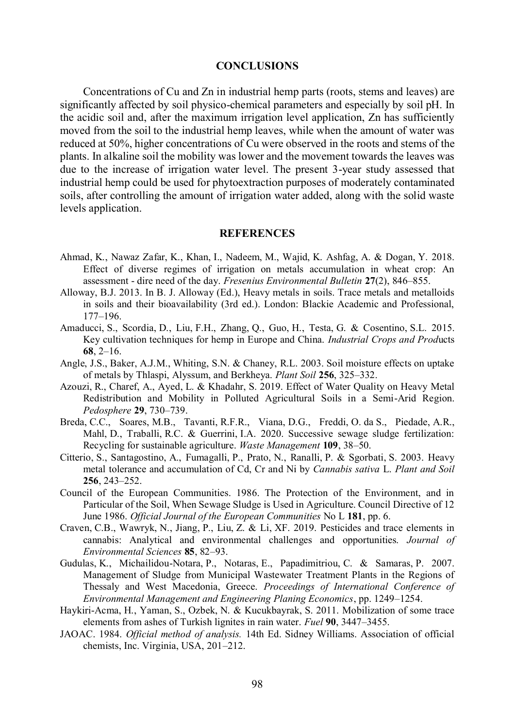### **CONCLUSIONS**

Concentrations of Cu and Zn in industrial hemp parts (roots, stems and leaves) are significantly affected by soil physico-chemical parameters and especially by soil pH. In the acidic soil and, after the maximum irrigation level application, Zn has sufficiently moved from the soil to the industrial hemp leaves, while when the amount of water was reduced at 50%, higher concentrations of Cu were observed in the roots and stems of the plants. In alkaline soil the mobility was lower and the movement towards the leaves was due to the increase of irrigation water level. The present 3-year study assessed that industrial hemp could be used for phytoextraction purposes of moderately contaminated soils, after controlling the amount of irrigation water added, along with the solid waste levels application.

#### **REFERENCES**

- Ahmad, K., Nawaz Zafar, K., Khan, I., Nadeem, M., Wajid, K. Ashfag, A. & Dogan, Y. 2018. Effect of diverse regimes of irrigation on metals accumulation in wheat crop: An assessment - dire need of the day. Fresenius Environmental Bulletin 27(2), 846–855.
- Alloway, B.J. 2013. In B. J. Alloway (Ed.), Heavy metals in soils. Trace metals and metalloids in soils and their bioavailability (3rd ed.). London: Blackie Academic and Professional, 177–196.
- Amaducci, S., Scordia, D., Liu, F.H., Zhang, Q., Guo, H., Testa, G. & Cosentino, S.L. 2015. Key cultivation techniques for hemp in Europe and China. Industrial Crops and Products 68, 2–16.
- Angle, J.S., Baker, A.J.M., Whiting, S.N. & Chaney, R.L. 2003. Soil moisture effects on uptake of metals by Thlaspi, Alyssum, and Berkheya. Plant Soil 256, 325–332.
- Azouzi, R., Charef, A., Ayed, L. & Khadahr, S. 2019. Effect of Water Quality on Heavy Metal Redistribution and Mobility in Polluted Agricultural Soils in a Semi-Arid Region. Pedosphere 29, 730–739.
- Breda, C.C., Soares, M.B., Tavanti, R.F.R., Viana, D.G., Freddi, O. da S., Piedade, A.R., Mahl, D., Traballi, R.C. & Guerrini, I.A. 2020. Successive sewage sludge fertilization: Recycling for sustainable agriculture. Waste Management 109, 38–50.
- Citterio, S., Santagostino, A., Fumagalli, P., Prato, N., Ranalli, P. & Sgorbati, S. 2003. Heavy metal tolerance and accumulation of Cd, Cr and Ni by Cannabis sativa L. Plant and Soil 256, 243–252.
- Council of the European Communities. 1986. The Protection of the Environment, and in Particular of the Soil, When Sewage Sludge is Used in Agriculture. Council Directive of 12 June 1986. Official Journal of the European Communities No L 181, pp. 6.
- Craven, C.B., Wawryk, N., Jiang, P., Liu, Z. & Li, XF. 2019. Pesticides and trace elements in cannabis: Analytical and environmental challenges and opportunities. Journal of Environmental Sciences 85, 82–93.
- Gudulas, K., Michailidou-Notara, P., Notaras, E., Papadimitriou, C. & Samaras, P. 2007. Management of Sludge from Municipal Wastewater Treatment Plants in the Regions of Thessaly and West Macedonia, Greece. Proceedings of International Conference of Environmental Management and Engineering Planing Economics, pp. 1249–1254.
- Haykiri-Acma, H., Yaman, S., Ozbek, N. & Kucukbayrak, S. 2011. Mobilization of some trace elements from ashes of Turkish lignites in rain water. Fuel 90, 3447–3455.
- JAOAC. 1984. Official method of analysis. 14th Ed. Sidney Williams. Association of official chemists, Inc. Virginia, USA, 201–212.